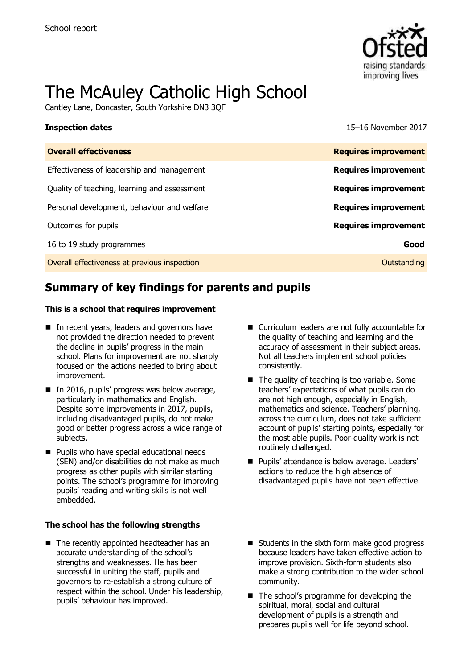

# The McAuley Catholic High School

Cantley Lane, Doncaster, South Yorkshire DN3 3QF

**Inspection dates** 15–16 November 2017

| <b>Overall effectiveness</b>                 | <b>Requires improvement</b> |
|----------------------------------------------|-----------------------------|
| Effectiveness of leadership and management   | <b>Requires improvement</b> |
| Quality of teaching, learning and assessment | <b>Requires improvement</b> |
| Personal development, behaviour and welfare  | <b>Requires improvement</b> |
| Outcomes for pupils                          | <b>Requires improvement</b> |
| 16 to 19 study programmes                    | Good                        |
| Overall effectiveness at previous inspection | Outstanding                 |

# **Summary of key findings for parents and pupils**

#### **This is a school that requires improvement**

- In recent years, leaders and governors have not provided the direction needed to prevent the decline in pupils' progress in the main school. Plans for improvement are not sharply focused on the actions needed to bring about improvement.
- In 2016, pupils' progress was below average, particularly in mathematics and English. Despite some improvements in 2017, pupils, including disadvantaged pupils, do not make good or better progress across a wide range of subjects.
- **Pupils who have special educational needs** (SEN) and/or disabilities do not make as much progress as other pupils with similar starting points. The school's programme for improving pupils' reading and writing skills is not well embedded.

#### **The school has the following strengths**

■ The recently appointed headteacher has an accurate understanding of the school's strengths and weaknesses. He has been successful in uniting the staff, pupils and governors to re-establish a strong culture of respect within the school. Under his leadership, pupils' behaviour has improved.

- Curriculum leaders are not fully accountable for the quality of teaching and learning and the accuracy of assessment in their subject areas. Not all teachers implement school policies consistently.
- The quality of teaching is too variable. Some teachers' expectations of what pupils can do are not high enough, especially in English, mathematics and science. Teachers' planning, across the curriculum, does not take sufficient account of pupils' starting points, especially for the most able pupils. Poor-quality work is not routinely challenged.
- **Pupils' attendance is below average. Leaders'** actions to reduce the high absence of disadvantaged pupils have not been effective.
- Students in the sixth form make good progress because leaders have taken effective action to improve provision. Sixth-form students also make a strong contribution to the wider school community.
- The school's programme for developing the spiritual, moral, social and cultural development of pupils is a strength and prepares pupils well for life beyond school.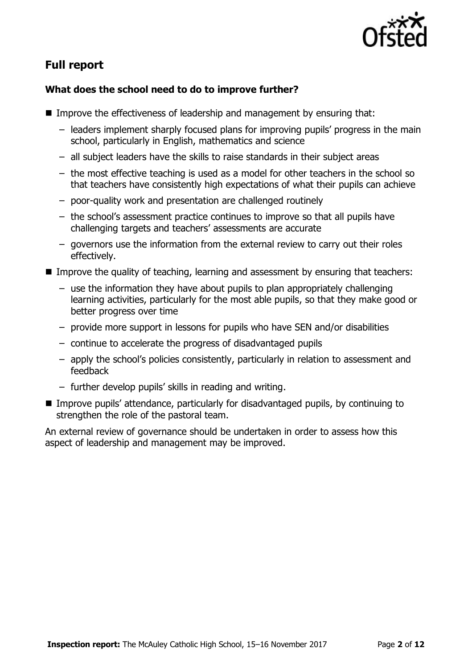

# **Full report**

### **What does the school need to do to improve further?**

- Improve the effectiveness of leadership and management by ensuring that:
	- leaders implement sharply focused plans for improving pupils' progress in the main school, particularly in English, mathematics and science
	- all subject leaders have the skills to raise standards in their subject areas
	- the most effective teaching is used as a model for other teachers in the school so that teachers have consistently high expectations of what their pupils can achieve
	- poor-quality work and presentation are challenged routinely
	- the school's assessment practice continues to improve so that all pupils have challenging targets and teachers' assessments are accurate
	- governors use the information from the external review to carry out their roles effectively.
- Improve the quality of teaching, learning and assessment by ensuring that teachers:
	- use the information they have about pupils to plan appropriately challenging learning activities, particularly for the most able pupils, so that they make good or better progress over time
	- provide more support in lessons for pupils who have SEN and/or disabilities
	- continue to accelerate the progress of disadvantaged pupils
	- apply the school's policies consistently, particularly in relation to assessment and feedback
	- further develop pupils' skills in reading and writing.
- Improve pupils' attendance, particularly for disadvantaged pupils, by continuing to strengthen the role of the pastoral team.

An external review of governance should be undertaken in order to assess how this aspect of leadership and management may be improved.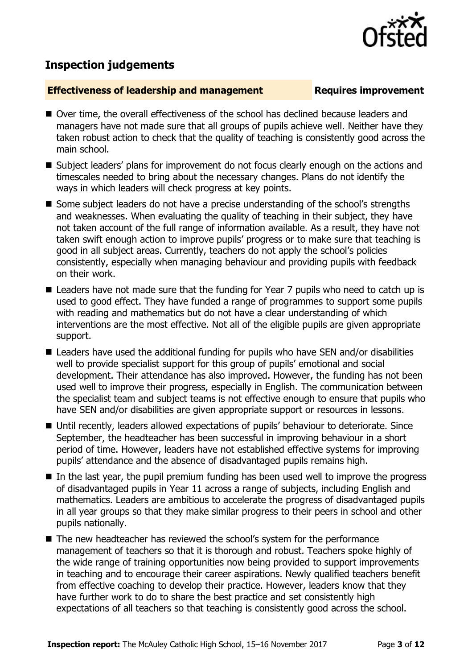# **Inspection judgements**

### **Effectiveness of leadership and management Requires improvement**

- Over time, the overall effectiveness of the school has declined because leaders and managers have not made sure that all groups of pupils achieve well. Neither have they taken robust action to check that the quality of teaching is consistently good across the main school.
- Subject leaders' plans for improvement do not focus clearly enough on the actions and timescales needed to bring about the necessary changes. Plans do not identify the ways in which leaders will check progress at key points.
- Some subject leaders do not have a precise understanding of the school's strengths and weaknesses. When evaluating the quality of teaching in their subject, they have not taken account of the full range of information available. As a result, they have not taken swift enough action to improve pupils' progress or to make sure that teaching is good in all subject areas. Currently, teachers do not apply the school's policies consistently, especially when managing behaviour and providing pupils with feedback on their work.
- Leaders have not made sure that the funding for Year 7 pupils who need to catch up is used to good effect. They have funded a range of programmes to support some pupils with reading and mathematics but do not have a clear understanding of which interventions are the most effective. Not all of the eligible pupils are given appropriate support.
- Leaders have used the additional funding for pupils who have SEN and/or disabilities well to provide specialist support for this group of pupils' emotional and social development. Their attendance has also improved. However, the funding has not been used well to improve their progress, especially in English. The communication between the specialist team and subject teams is not effective enough to ensure that pupils who have SEN and/or disabilities are given appropriate support or resources in lessons.
- Until recently, leaders allowed expectations of pupils' behaviour to deteriorate. Since September, the headteacher has been successful in improving behaviour in a short period of time. However, leaders have not established effective systems for improving pupils' attendance and the absence of disadvantaged pupils remains high.
- In the last year, the pupil premium funding has been used well to improve the progress of disadvantaged pupils in Year 11 across a range of subjects, including English and mathematics. Leaders are ambitious to accelerate the progress of disadvantaged pupils in all year groups so that they make similar progress to their peers in school and other pupils nationally.
- The new headteacher has reviewed the school's system for the performance management of teachers so that it is thorough and robust. Teachers spoke highly of the wide range of training opportunities now being provided to support improvements in teaching and to encourage their career aspirations. Newly qualified teachers benefit from effective coaching to develop their practice. However, leaders know that they have further work to do to share the best practice and set consistently high expectations of all teachers so that teaching is consistently good across the school.

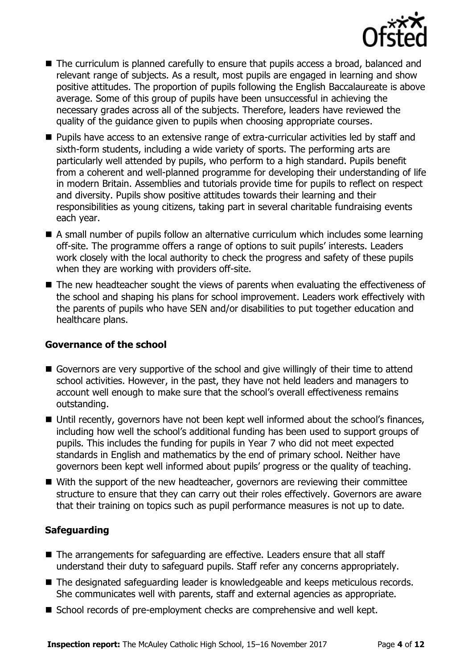

- The curriculum is planned carefully to ensure that pupils access a broad, balanced and relevant range of subjects. As a result, most pupils are engaged in learning and show positive attitudes. The proportion of pupils following the English Baccalaureate is above average. Some of this group of pupils have been unsuccessful in achieving the necessary grades across all of the subjects. Therefore, leaders have reviewed the quality of the guidance given to pupils when choosing appropriate courses.
- Pupils have access to an extensive range of extra-curricular activities led by staff and sixth-form students, including a wide variety of sports. The performing arts are particularly well attended by pupils, who perform to a high standard. Pupils benefit from a coherent and well-planned programme for developing their understanding of life in modern Britain. Assemblies and tutorials provide time for pupils to reflect on respect and diversity. Pupils show positive attitudes towards their learning and their responsibilities as young citizens, taking part in several charitable fundraising events each year.
- A small number of pupils follow an alternative curriculum which includes some learning off-site. The programme offers a range of options to suit pupils' interests. Leaders work closely with the local authority to check the progress and safety of these pupils when they are working with providers off-site.
- The new headteacher sought the views of parents when evaluating the effectiveness of the school and shaping his plans for school improvement. Leaders work effectively with the parents of pupils who have SEN and/or disabilities to put together education and healthcare plans.

### **Governance of the school**

- Governors are very supportive of the school and give willingly of their time to attend school activities. However, in the past, they have not held leaders and managers to account well enough to make sure that the school's overall effectiveness remains outstanding.
- Until recently, governors have not been kept well informed about the school's finances, including how well the school's additional funding has been used to support groups of pupils. This includes the funding for pupils in Year 7 who did not meet expected standards in English and mathematics by the end of primary school. Neither have governors been kept well informed about pupils' progress or the quality of teaching.
- With the support of the new headteacher, governors are reviewing their committee structure to ensure that they can carry out their roles effectively. Governors are aware that their training on topics such as pupil performance measures is not up to date.

### **Safeguarding**

- The arrangements for safeguarding are effective. Leaders ensure that all staff understand their duty to safeguard pupils. Staff refer any concerns appropriately.
- The designated safeguarding leader is knowledgeable and keeps meticulous records. She communicates well with parents, staff and external agencies as appropriate.
- School records of pre-employment checks are comprehensive and well kept.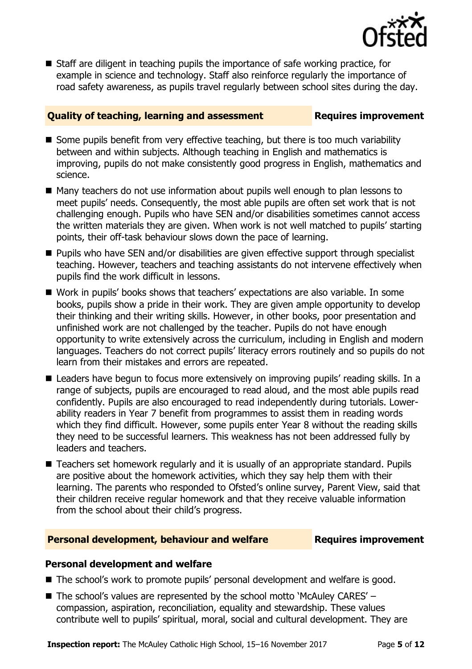

■ Staff are diligent in teaching pupils the importance of safe working practice, for example in science and technology. Staff also reinforce regularly the importance of road safety awareness, as pupils travel regularly between school sites during the day.

### **Quality of teaching, learning and assessment Requires improvement**

- Some pupils benefit from very effective teaching, but there is too much variability between and within subjects. Although teaching in English and mathematics is improving, pupils do not make consistently good progress in English, mathematics and science.
- Many teachers do not use information about pupils well enough to plan lessons to meet pupils' needs. Consequently, the most able pupils are often set work that is not challenging enough. Pupils who have SEN and/or disabilities sometimes cannot access the written materials they are given. When work is not well matched to pupils' starting points, their off-task behaviour slows down the pace of learning.
- **Pupils who have SEN and/or disabilities are given effective support through specialist** teaching. However, teachers and teaching assistants do not intervene effectively when pupils find the work difficult in lessons.
- Work in pupils' books shows that teachers' expectations are also variable. In some books, pupils show a pride in their work. They are given ample opportunity to develop their thinking and their writing skills. However, in other books, poor presentation and unfinished work are not challenged by the teacher. Pupils do not have enough opportunity to write extensively across the curriculum, including in English and modern languages. Teachers do not correct pupils' literacy errors routinely and so pupils do not learn from their mistakes and errors are repeated.
- Leaders have begun to focus more extensively on improving pupils' reading skills. In a range of subjects, pupils are encouraged to read aloud, and the most able pupils read confidently. Pupils are also encouraged to read independently during tutorials. Lowerability readers in Year 7 benefit from programmes to assist them in reading words which they find difficult. However, some pupils enter Year 8 without the reading skills they need to be successful learners. This weakness has not been addressed fully by leaders and teachers.
- Teachers set homework regularly and it is usually of an appropriate standard. Pupils are positive about the homework activities, which they say help them with their learning. The parents who responded to Ofsted's online survey, Parent View, said that their children receive regular homework and that they receive valuable information from the school about their child's progress.

### **Personal development, behaviour and welfare Fig. 2. Requires improvement**

### **Personal development and welfare**

- The school's work to promote pupils' personal development and welfare is good.
- $\blacksquare$  The school's values are represented by the school motto 'McAuley CARES' compassion, aspiration, reconciliation, equality and stewardship. These values contribute well to pupils' spiritual, moral, social and cultural development. They are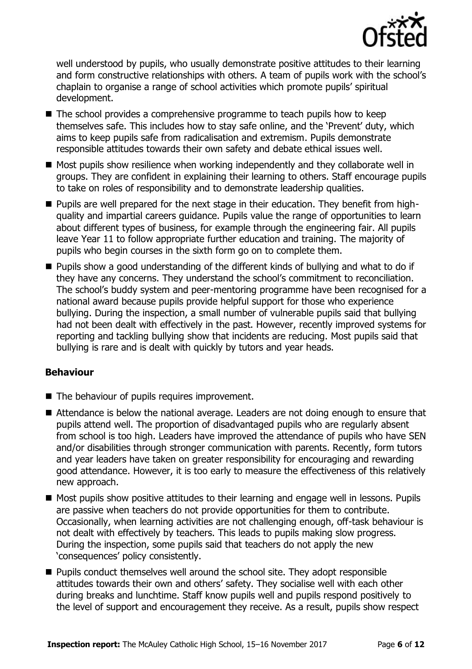

well understood by pupils, who usually demonstrate positive attitudes to their learning and form constructive relationships with others. A team of pupils work with the school's chaplain to organise a range of school activities which promote pupils' spiritual development.

- The school provides a comprehensive programme to teach pupils how to keep themselves safe. This includes how to stay safe online, and the 'Prevent' duty, which aims to keep pupils safe from radicalisation and extremism. Pupils demonstrate responsible attitudes towards their own safety and debate ethical issues well.
- Most pupils show resilience when working independently and they collaborate well in groups. They are confident in explaining their learning to others. Staff encourage pupils to take on roles of responsibility and to demonstrate leadership qualities.
- Pupils are well prepared for the next stage in their education. They benefit from highquality and impartial careers guidance. Pupils value the range of opportunities to learn about different types of business, for example through the engineering fair. All pupils leave Year 11 to follow appropriate further education and training. The majority of pupils who begin courses in the sixth form go on to complete them.
- **Pupils show a good understanding of the different kinds of bullying and what to do if** they have any concerns. They understand the school's commitment to reconciliation. The school's buddy system and peer-mentoring programme have been recognised for a national award because pupils provide helpful support for those who experience bullying. During the inspection, a small number of vulnerable pupils said that bullying had not been dealt with effectively in the past. However, recently improved systems for reporting and tackling bullying show that incidents are reducing. Most pupils said that bullying is rare and is dealt with quickly by tutors and year heads.

### **Behaviour**

- The behaviour of pupils requires improvement.
- Attendance is below the national average. Leaders are not doing enough to ensure that pupils attend well. The proportion of disadvantaged pupils who are regularly absent from school is too high. Leaders have improved the attendance of pupils who have SEN and/or disabilities through stronger communication with parents. Recently, form tutors and year leaders have taken on greater responsibility for encouraging and rewarding good attendance. However, it is too early to measure the effectiveness of this relatively new approach.
- Most pupils show positive attitudes to their learning and engage well in lessons. Pupils are passive when teachers do not provide opportunities for them to contribute. Occasionally, when learning activities are not challenging enough, off-task behaviour is not dealt with effectively by teachers. This leads to pupils making slow progress. During the inspection, some pupils said that teachers do not apply the new 'consequences' policy consistently.
- **Pupils conduct themselves well around the school site. They adopt responsible** attitudes towards their own and others' safety. They socialise well with each other during breaks and lunchtime. Staff know pupils well and pupils respond positively to the level of support and encouragement they receive. As a result, pupils show respect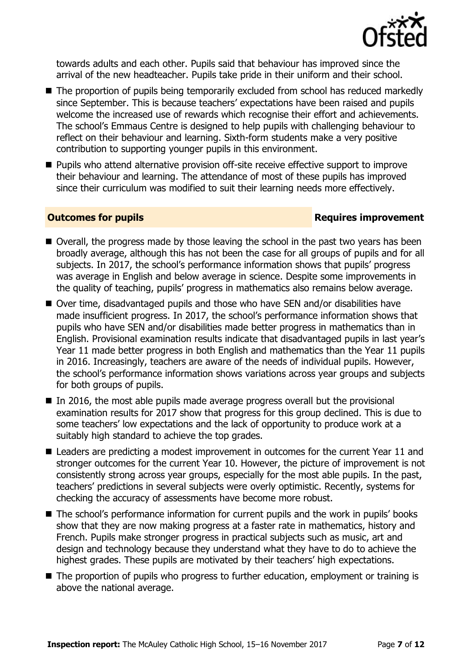

towards adults and each other. Pupils said that behaviour has improved since the arrival of the new headteacher. Pupils take pride in their uniform and their school.

- The proportion of pupils being temporarily excluded from school has reduced markedly since September. This is because teachers' expectations have been raised and pupils welcome the increased use of rewards which recognise their effort and achievements. The school's Emmaus Centre is designed to help pupils with challenging behaviour to reflect on their behaviour and learning. Sixth-form students make a very positive contribution to supporting younger pupils in this environment.
- Pupils who attend alternative provision off-site receive effective support to improve their behaviour and learning. The attendance of most of these pupils has improved since their curriculum was modified to suit their learning needs more effectively.

#### **Outcomes for pupils Requires improvement**

- Overall, the progress made by those leaving the school in the past two years has been broadly average, although this has not been the case for all groups of pupils and for all subjects. In 2017, the school's performance information shows that pupils' progress was average in English and below average in science. Despite some improvements in the quality of teaching, pupils' progress in mathematics also remains below average.
- Over time, disadvantaged pupils and those who have SEN and/or disabilities have made insufficient progress. In 2017, the school's performance information shows that pupils who have SEN and/or disabilities made better progress in mathematics than in English. Provisional examination results indicate that disadvantaged pupils in last year's Year 11 made better progress in both English and mathematics than the Year 11 pupils in 2016. Increasingly, teachers are aware of the needs of individual pupils. However, the school's performance information shows variations across year groups and subjects for both groups of pupils.
- $\blacksquare$  In 2016, the most able pupils made average progress overall but the provisional examination results for 2017 show that progress for this group declined. This is due to some teachers' low expectations and the lack of opportunity to produce work at a suitably high standard to achieve the top grades.
- Leaders are predicting a modest improvement in outcomes for the current Year 11 and stronger outcomes for the current Year 10. However, the picture of improvement is not consistently strong across year groups, especially for the most able pupils. In the past, teachers' predictions in several subjects were overly optimistic. Recently, systems for checking the accuracy of assessments have become more robust.
- The school's performance information for current pupils and the work in pupils' books show that they are now making progress at a faster rate in mathematics, history and French. Pupils make stronger progress in practical subjects such as music, art and design and technology because they understand what they have to do to achieve the highest grades. These pupils are motivated by their teachers' high expectations.
- The proportion of pupils who progress to further education, employment or training is above the national average.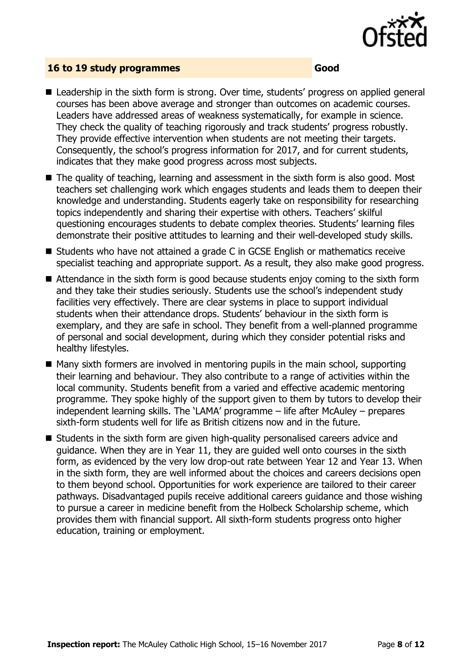

#### **16 to 19 study programmes Good**

- Leadership in the sixth form is strong. Over time, students' progress on applied general courses has been above average and stronger than outcomes on academic courses. Leaders have addressed areas of weakness systematically, for example in science. They check the quality of teaching rigorously and track students' progress robustly. They provide effective intervention when students are not meeting their targets. Consequently, the school's progress information for 2017, and for current students, indicates that they make good progress across most subjects.
- The quality of teaching, learning and assessment in the sixth form is also good. Most teachers set challenging work which engages students and leads them to deepen their knowledge and understanding. Students eagerly take on responsibility for researching topics independently and sharing their expertise with others. Teachers' skilful questioning encourages students to debate complex theories. Students' learning files demonstrate their positive attitudes to learning and their well-developed study skills.
- Students who have not attained a grade C in GCSE English or mathematics receive specialist teaching and appropriate support. As a result, they also make good progress.
- Attendance in the sixth form is good because students enjoy coming to the sixth form and they take their studies seriously. Students use the school's independent study facilities very effectively. There are clear systems in place to support individual students when their attendance drops. Students' behaviour in the sixth form is exemplary, and they are safe in school. They benefit from a well-planned programme of personal and social development, during which they consider potential risks and healthy lifestyles.
- $\blacksquare$  Many sixth formers are involved in mentoring pupils in the main school, supporting their learning and behaviour. They also contribute to a range of activities within the local community. Students benefit from a varied and effective academic mentoring programme. They spoke highly of the support given to them by tutors to develop their independent learning skills. The 'LAMA' programme – life after McAuley – prepares sixth-form students well for life as British citizens now and in the future.
- Students in the sixth form are given high-quality personalised careers advice and guidance. When they are in Year 11, they are guided well onto courses in the sixth form, as evidenced by the very low drop-out rate between Year 12 and Year 13. When in the sixth form, they are well informed about the choices and careers decisions open to them beyond school. Opportunities for work experience are tailored to their career pathways. Disadvantaged pupils receive additional careers guidance and those wishing to pursue a career in medicine benefit from the Holbeck Scholarship scheme, which provides them with financial support. All sixth-form students progress onto higher education, training or employment.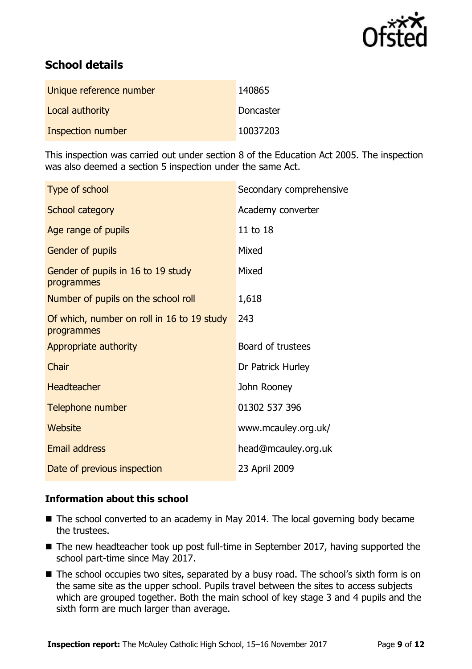

# **School details**

| Unique reference number | 140865           |
|-------------------------|------------------|
| Local authority         | <b>Doncaster</b> |
| Inspection number       | 10037203         |

This inspection was carried out under section 8 of the Education Act 2005. The inspection was also deemed a section 5 inspection under the same Act.

| Type of school                                           | Secondary comprehensive |
|----------------------------------------------------------|-------------------------|
| School category                                          | Academy converter       |
| Age range of pupils                                      | 11 to 18                |
| Gender of pupils                                         | Mixed                   |
| Gender of pupils in 16 to 19 study<br>programmes         | Mixed                   |
| Number of pupils on the school roll                      | 1,618                   |
| Of which, number on roll in 16 to 19 study<br>programmes | 243                     |
| Appropriate authority                                    | Board of trustees       |
| Chair                                                    | Dr Patrick Hurley       |
| <b>Headteacher</b>                                       | John Rooney             |
| Telephone number                                         | 01302 537 396           |
| Website                                                  | www.mcauley.org.uk/     |
| <b>Email address</b>                                     | head@mcauley.org.uk     |
| Date of previous inspection                              | 23 April 2009           |

### **Information about this school**

- The school converted to an academy in May 2014. The local governing body became the trustees.
- The new headteacher took up post full-time in September 2017, having supported the school part-time since May 2017.
- The school occupies two sites, separated by a busy road. The school's sixth form is on the same site as the upper school. Pupils travel between the sites to access subjects which are grouped together. Both the main school of key stage 3 and 4 pupils and the sixth form are much larger than average.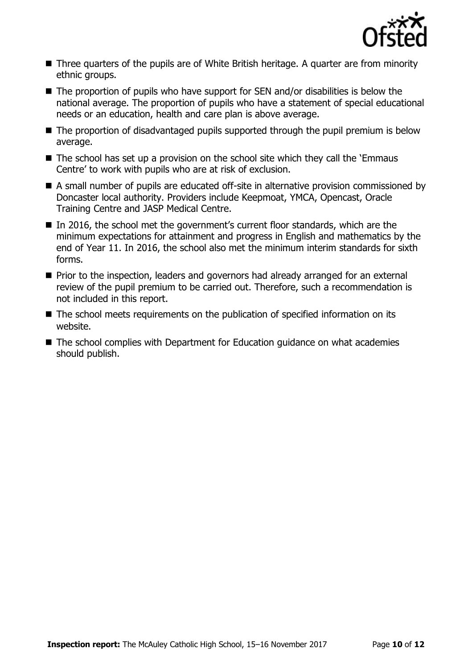

- Three quarters of the pupils are of White British heritage. A quarter are from minority ethnic groups.
- The proportion of pupils who have support for SEN and/or disabilities is below the national average. The proportion of pupils who have a statement of special educational needs or an education, health and care plan is above average.
- The proportion of disadvantaged pupils supported through the pupil premium is below average.
- The school has set up a provision on the school site which they call the 'Emmaus Centre' to work with pupils who are at risk of exclusion.
- A small number of pupils are educated off-site in alternative provision commissioned by Doncaster local authority. Providers include Keepmoat, YMCA, Opencast, Oracle Training Centre and JASP Medical Centre.
- In 2016, the school met the government's current floor standards, which are the minimum expectations for attainment and progress in English and mathematics by the end of Year 11. In 2016, the school also met the minimum interim standards for sixth forms.
- **Prior to the inspection, leaders and governors had already arranged for an external** review of the pupil premium to be carried out. Therefore, such a recommendation is not included in this report.
- The school meets requirements on the publication of specified information on its website.
- The school complies with Department for Education guidance on what academies should publish.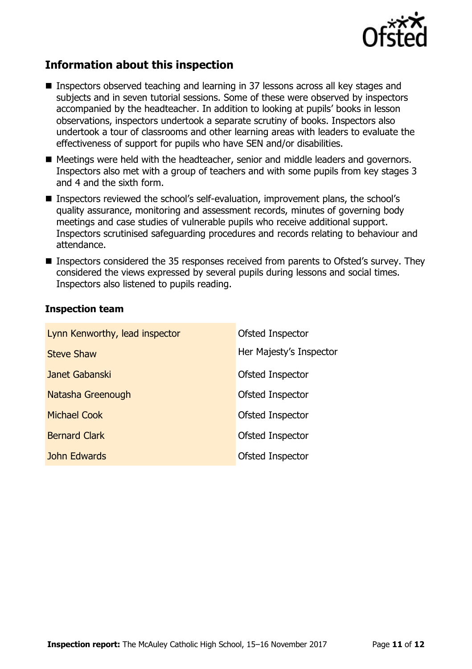

## **Information about this inspection**

- Inspectors observed teaching and learning in 37 lessons across all key stages and subjects and in seven tutorial sessions. Some of these were observed by inspectors accompanied by the headteacher. In addition to looking at pupils' books in lesson observations, inspectors undertook a separate scrutiny of books. Inspectors also undertook a tour of classrooms and other learning areas with leaders to evaluate the effectiveness of support for pupils who have SEN and/or disabilities.
- Meetings were held with the headteacher, senior and middle leaders and governors. Inspectors also met with a group of teachers and with some pupils from key stages 3 and 4 and the sixth form.
- Inspectors reviewed the school's self-evaluation, improvement plans, the school's quality assurance, monitoring and assessment records, minutes of governing body meetings and case studies of vulnerable pupils who receive additional support. Inspectors scrutinised safeguarding procedures and records relating to behaviour and attendance.
- Inspectors considered the 35 responses received from parents to Ofsted's survey. They considered the views expressed by several pupils during lessons and social times. Inspectors also listened to pupils reading.

#### **Inspection team**

| Lynn Kenworthy, lead inspector | Ofsted Inspector        |
|--------------------------------|-------------------------|
| <b>Steve Shaw</b>              | Her Majesty's Inspector |
| Janet Gabanski                 | Ofsted Inspector        |
| Natasha Greenough              | Ofsted Inspector        |
| <b>Michael Cook</b>            | Ofsted Inspector        |
| <b>Bernard Clark</b>           | Ofsted Inspector        |
| John Edwards                   | Ofsted Inspector        |